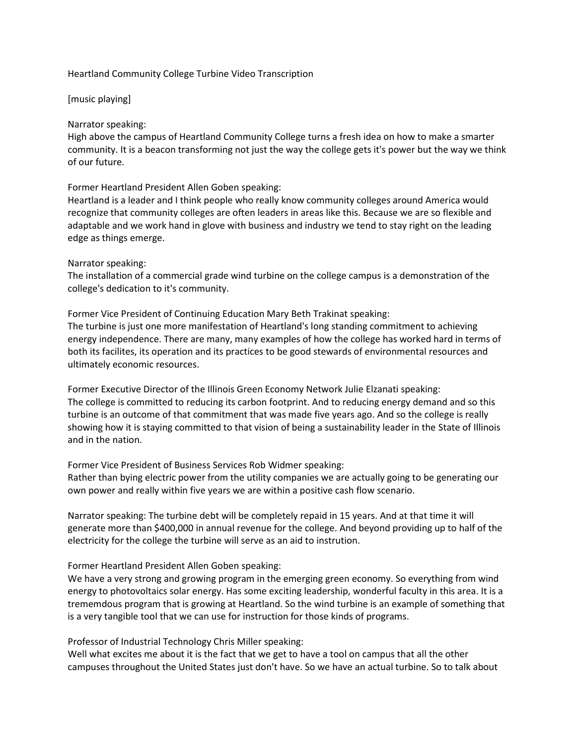# Heartland Community College Turbine Video Transcription

### [music playing]

### Narrator speaking:

High above the campus of Heartland Community College turns a fresh idea on how to make a smarter community. It is a beacon transforming not just the way the college gets it's power but the way we think of our future.

Former Heartland President Allen Goben speaking:

Heartland is a leader and I think people who really know community colleges around America would recognize that community colleges are often leaders in areas like this. Because we are so flexible and adaptable and we work hand in glove with business and industry we tend to stay right on the leading edge as things emerge.

### Narrator speaking:

The installation of a commercial grade wind turbine on the college campus is a demonstration of the college's dedication to it's community.

Former Vice President of Continuing Education Mary Beth Trakinat speaking: The turbine is just one more manifestation of Heartland's long standing commitment to achieving energy independence. There are many, many examples of how the college has worked hard in terms of both its facilites, its operation and its practices to be good stewards of environmental resources and ultimately economic resources.

Former Executive Director of the Illinois Green Economy Network Julie Elzanati speaking: The college is committed to reducing its carbon footprint. And to reducing energy demand and so this turbine is an outcome of that commitment that was made five years ago. And so the college is really showing how it is staying committed to that vision of being a sustainability leader in the State of Illinois and in the nation.

Former Vice President of Business Services Rob Widmer speaking: Rather than bying electric power from the utility companies we are actually going to be generating our own power and really within five years we are within a positive cash flow scenario.

Narrator speaking: The turbine debt will be completely repaid in 15 years. And at that time it will generate more than \$400,000 in annual revenue for the college. And beyond providing up to half of the electricity for the college the turbine will serve as an aid to instrution.

# Former Heartland President Allen Goben speaking:

We have a very strong and growing program in the emerging green economy. So everything from wind energy to photovoltaics solar energy. Has some exciting leadership, wonderful faculty in this area. It is a trememdous program that is growing at Heartland. So the wind turbine is an example of something that is a very tangible tool that we can use for instruction for those kinds of programs.

Professor of Industrial Technology Chris Miller speaking:

Well what excites me about it is the fact that we get to have a tool on campus that all the other campuses throughout the United States just don't have. So we have an actual turbine. So to talk about